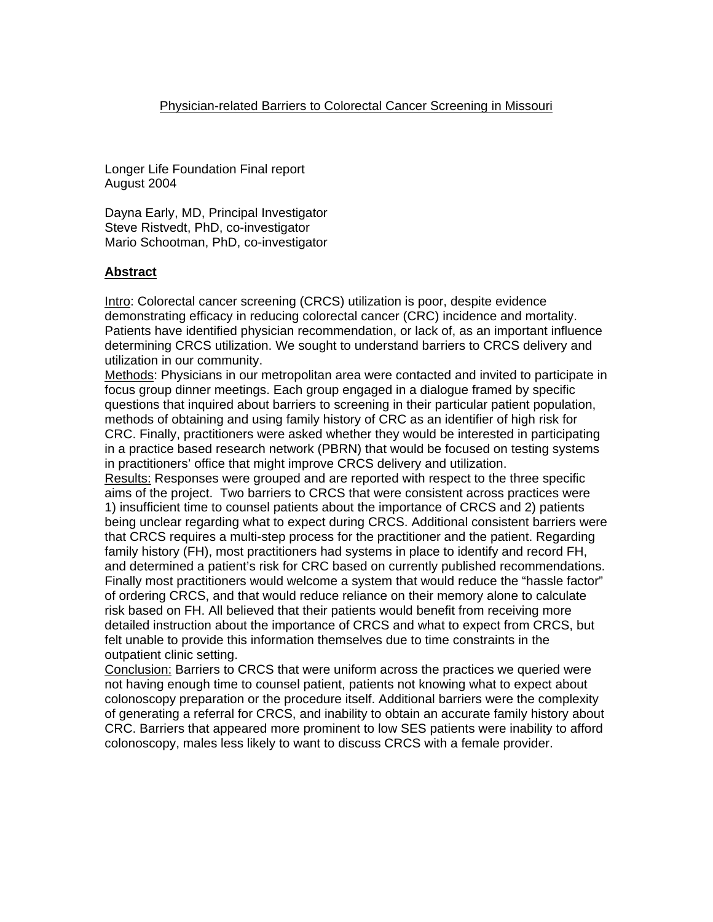Longer Life Foundation Final report August 2004

Dayna Early, MD, Principal Investigator Steve Ristvedt, PhD, co-investigator Mario Schootman, PhD, co-investigator

# **Abstract**

Intro: Colorectal cancer screening (CRCS) utilization is poor, despite evidence demonstrating efficacy in reducing colorectal cancer (CRC) incidence and mortality. Patients have identified physician recommendation, or lack of, as an important influence determining CRCS utilization. We sought to understand barriers to CRCS delivery and utilization in our community.

Methods: Physicians in our metropolitan area were contacted and invited to participate in focus group dinner meetings. Each group engaged in a dialogue framed by specific questions that inquired about barriers to screening in their particular patient population, methods of obtaining and using family history of CRC as an identifier of high risk for CRC. Finally, practitioners were asked whether they would be interested in participating in a practice based research network (PBRN) that would be focused on testing systems in practitioners' office that might improve CRCS delivery and utilization.

Results: Responses were grouped and are reported with respect to the three specific aims of the project. Two barriers to CRCS that were consistent across practices were 1) insufficient time to counsel patients about the importance of CRCS and 2) patients being unclear regarding what to expect during CRCS. Additional consistent barriers were that CRCS requires a multi-step process for the practitioner and the patient. Regarding family history (FH), most practitioners had systems in place to identify and record FH, and determined a patient's risk for CRC based on currently published recommendations. Finally most practitioners would welcome a system that would reduce the "hassle factor" of ordering CRCS, and that would reduce reliance on their memory alone to calculate risk based on FH. All believed that their patients would benefit from receiving more detailed instruction about the importance of CRCS and what to expect from CRCS, but felt unable to provide this information themselves due to time constraints in the outpatient clinic setting.

Conclusion: Barriers to CRCS that were uniform across the practices we queried were not having enough time to counsel patient, patients not knowing what to expect about colonoscopy preparation or the procedure itself. Additional barriers were the complexity of generating a referral for CRCS, and inability to obtain an accurate family history about CRC. Barriers that appeared more prominent to low SES patients were inability to afford colonoscopy, males less likely to want to discuss CRCS with a female provider.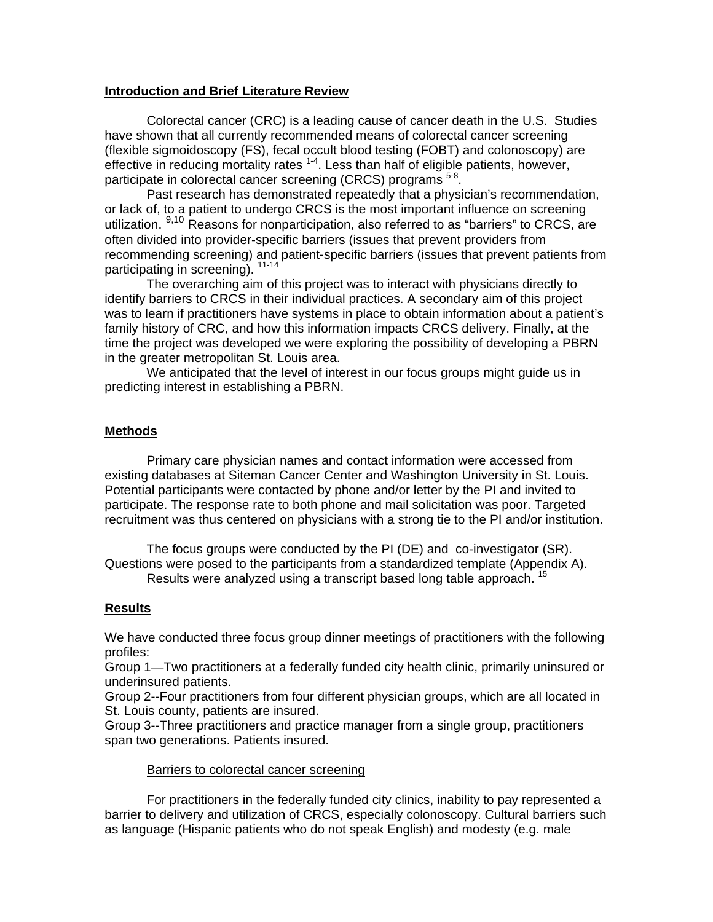## **Introduction and Brief Literature Review**

Colorectal cancer (CRC) is a leading cause of cancer death in the U.S. Studies have shown that all currently recommended means of colorectal cancer screening (flexible sigmoidoscopy (FS), fecal occult blood testing (FOBT) and colonoscopy) are effective in reducing mortality rates  $1-4$ . Less than half of eligible patients, however, participate in colorectal cancer screening (CRCS) programs <sup>5-8</sup>.

Past research has demonstrated repeatedly that a physician's recommendation, or lack of, to a patient to undergo CRCS is the most important influence on screening utilization. <sup>9,10</sup> Reasons for nonparticipation, also referred to as "barriers" to CRCS, are often divided into provider-specific barriers (issues that prevent providers from recommending screening) and patient-specific barriers (issues that prevent patients from participating in screening). <sup>11-14</sup>

The overarching aim of this project was to interact with physicians directly to identify barriers to CRCS in their individual practices. A secondary aim of this project was to learn if practitioners have systems in place to obtain information about a patient's family history of CRC, and how this information impacts CRCS delivery. Finally, at the time the project was developed we were exploring the possibility of developing a PBRN in the greater metropolitan St. Louis area.

We anticipated that the level of interest in our focus groups might guide us in predicting interest in establishing a PBRN.

# **Methods**

Primary care physician names and contact information were accessed from existing databases at Siteman Cancer Center and Washington University in St. Louis. Potential participants were contacted by phone and/or letter by the PI and invited to participate. The response rate to both phone and mail solicitation was poor. Targeted recruitment was thus centered on physicians with a strong tie to the PI and/or institution.

The focus groups were conducted by the PI (DE) and co-investigator (SR). Questions were posed to the participants from a standardized template (Appendix A). Results were analyzed using a transcript based long table approach. 15

# **Results**

We have conducted three focus group dinner meetings of practitioners with the following profiles:

Group 1—Two practitioners at a federally funded city health clinic, primarily uninsured or underinsured patients.

Group 2--Four practitioners from four different physician groups, which are all located in St. Louis county, patients are insured.

Group 3--Three practitioners and practice manager from a single group, practitioners span two generations. Patients insured.

## Barriers to colorectal cancer screening

 For practitioners in the federally funded city clinics, inability to pay represented a barrier to delivery and utilization of CRCS, especially colonoscopy. Cultural barriers such as language (Hispanic patients who do not speak English) and modesty (e.g. male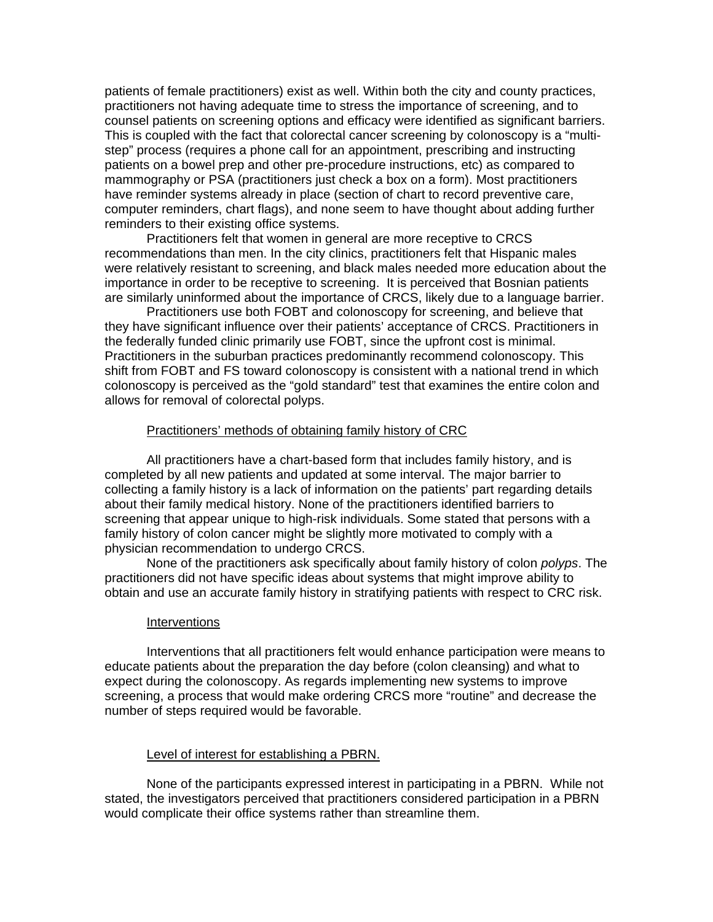patients of female practitioners) exist as well. Within both the city and county practices, practitioners not having adequate time to stress the importance of screening, and to counsel patients on screening options and efficacy were identified as significant barriers. This is coupled with the fact that colorectal cancer screening by colonoscopy is a "multistep" process (requires a phone call for an appointment, prescribing and instructing patients on a bowel prep and other pre-procedure instructions, etc) as compared to mammography or PSA (practitioners just check a box on a form). Most practitioners have reminder systems already in place (section of chart to record preventive care, computer reminders, chart flags), and none seem to have thought about adding further reminders to their existing office systems.

 Practitioners felt that women in general are more receptive to CRCS recommendations than men. In the city clinics, practitioners felt that Hispanic males were relatively resistant to screening, and black males needed more education about the importance in order to be receptive to screening. It is perceived that Bosnian patients are similarly uninformed about the importance of CRCS, likely due to a language barrier.

 Practitioners use both FOBT and colonoscopy for screening, and believe that they have significant influence over their patients' acceptance of CRCS. Practitioners in the federally funded clinic primarily use FOBT, since the upfront cost is minimal. Practitioners in the suburban practices predominantly recommend colonoscopy. This shift from FOBT and FS toward colonoscopy is consistent with a national trend in which colonoscopy is perceived as the "gold standard" test that examines the entire colon and allows for removal of colorectal polyps.

#### Practitioners' methods of obtaining family history of CRC

 All practitioners have a chart-based form that includes family history, and is completed by all new patients and updated at some interval. The major barrier to collecting a family history is a lack of information on the patients' part regarding details about their family medical history. None of the practitioners identified barriers to screening that appear unique to high-risk individuals. Some stated that persons with a family history of colon cancer might be slightly more motivated to comply with a physician recommendation to undergo CRCS.

 None of the practitioners ask specifically about family history of colon *polyps*. The practitioners did not have specific ideas about systems that might improve ability to obtain and use an accurate family history in stratifying patients with respect to CRC risk.

#### Interventions

Interventions that all practitioners felt would enhance participation were means to educate patients about the preparation the day before (colon cleansing) and what to expect during the colonoscopy. As regards implementing new systems to improve screening, a process that would make ordering CRCS more "routine" and decrease the number of steps required would be favorable.

#### Level of interest for establishing a PBRN.

 None of the participants expressed interest in participating in a PBRN. While not stated, the investigators perceived that practitioners considered participation in a PBRN would complicate their office systems rather than streamline them.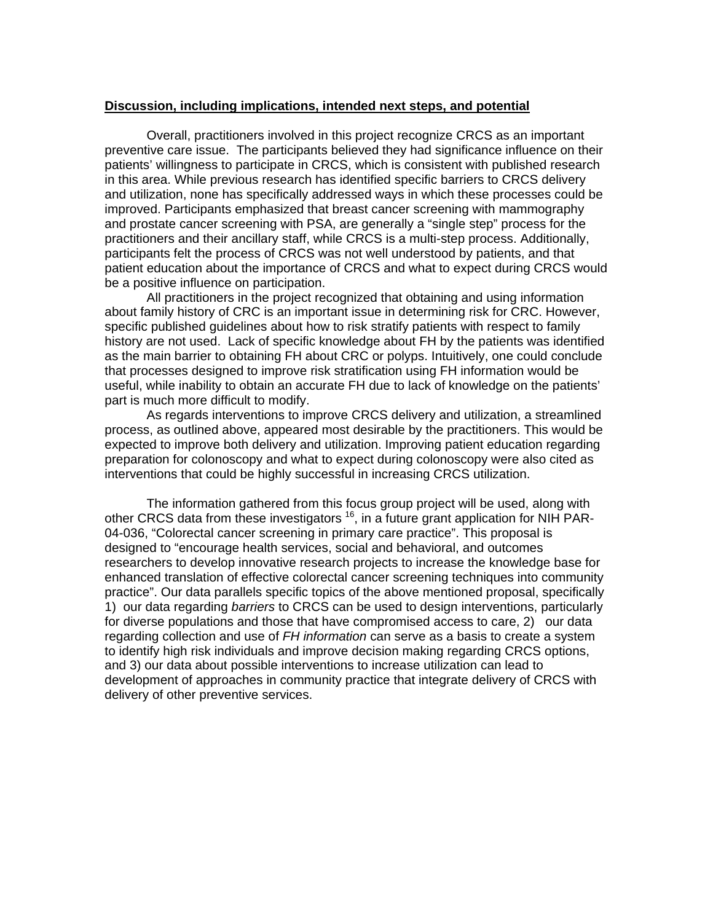#### **Discussion, including implications, intended next steps, and potential**

Overall, practitioners involved in this project recognize CRCS as an important preventive care issue. The participants believed they had significance influence on their patients' willingness to participate in CRCS, which is consistent with published research in this area. While previous research has identified specific barriers to CRCS delivery and utilization, none has specifically addressed ways in which these processes could be improved. Participants emphasized that breast cancer screening with mammography and prostate cancer screening with PSA, are generally a "single step" process for the practitioners and their ancillary staff, while CRCS is a multi-step process. Additionally, participants felt the process of CRCS was not well understood by patients, and that patient education about the importance of CRCS and what to expect during CRCS would be a positive influence on participation.

 All practitioners in the project recognized that obtaining and using information about family history of CRC is an important issue in determining risk for CRC. However, specific published guidelines about how to risk stratify patients with respect to family history are not used. Lack of specific knowledge about FH by the patients was identified as the main barrier to obtaining FH about CRC or polyps. Intuitively, one could conclude that processes designed to improve risk stratification using FH information would be useful, while inability to obtain an accurate FH due to lack of knowledge on the patients' part is much more difficult to modify.

 As regards interventions to improve CRCS delivery and utilization, a streamlined process, as outlined above, appeared most desirable by the practitioners. This would be expected to improve both delivery and utilization. Improving patient education regarding preparation for colonoscopy and what to expect during colonoscopy were also cited as interventions that could be highly successful in increasing CRCS utilization.

 The information gathered from this focus group project will be used, along with other CRCS data from these investigators <sup>16</sup>, in a future grant application for NIH PAR-04-036, "Colorectal cancer screening in primary care practice". This proposal is designed to "encourage health services, social and behavioral, and outcomes researchers to develop innovative research projects to increase the knowledge base for enhanced translation of effective colorectal cancer screening techniques into community practice". Our data parallels specific topics of the above mentioned proposal, specifically 1) our data regarding *barriers* to CRCS can be used to design interventions, particularly for diverse populations and those that have compromised access to care, 2) our data regarding collection and use of *FH information* can serve as a basis to create a system to identify high risk individuals and improve decision making regarding CRCS options, and 3) our data about possible interventions to increase utilization can lead to development of approaches in community practice that integrate delivery of CRCS with delivery of other preventive services.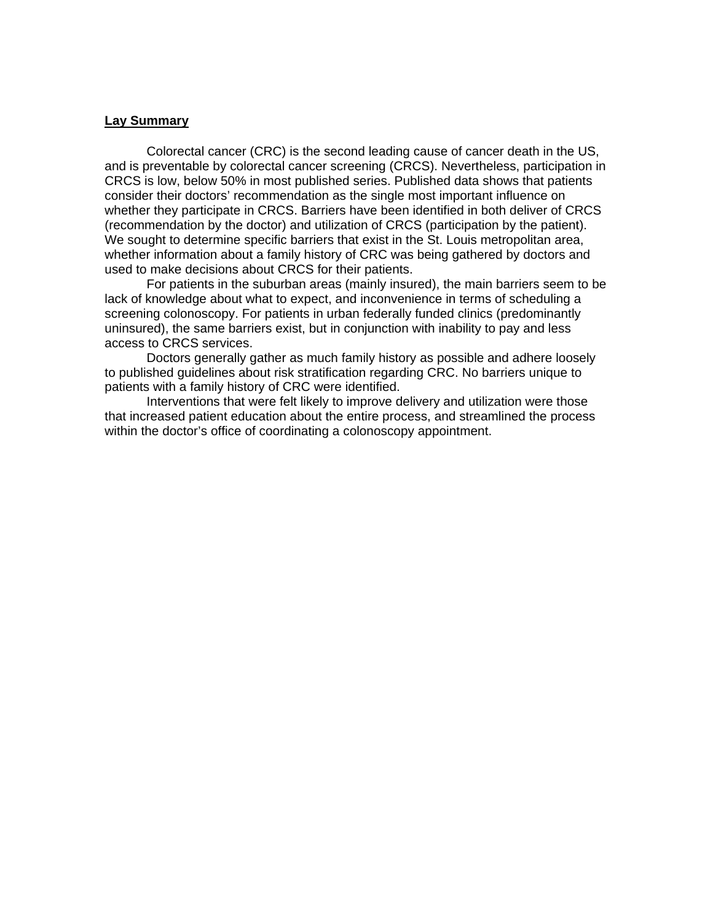## **Lay Summary**

Colorectal cancer (CRC) is the second leading cause of cancer death in the US, and is preventable by colorectal cancer screening (CRCS). Nevertheless, participation in CRCS is low, below 50% in most published series. Published data shows that patients consider their doctors' recommendation as the single most important influence on whether they participate in CRCS. Barriers have been identified in both deliver of CRCS (recommendation by the doctor) and utilization of CRCS (participation by the patient). We sought to determine specific barriers that exist in the St. Louis metropolitan area, whether information about a family history of CRC was being gathered by doctors and used to make decisions about CRCS for their patients.

 For patients in the suburban areas (mainly insured), the main barriers seem to be lack of knowledge about what to expect, and inconvenience in terms of scheduling a screening colonoscopy. For patients in urban federally funded clinics (predominantly uninsured), the same barriers exist, but in conjunction with inability to pay and less access to CRCS services.

 Doctors generally gather as much family history as possible and adhere loosely to published guidelines about risk stratification regarding CRC. No barriers unique to patients with a family history of CRC were identified.

 Interventions that were felt likely to improve delivery and utilization were those that increased patient education about the entire process, and streamlined the process within the doctor's office of coordinating a colonoscopy appointment.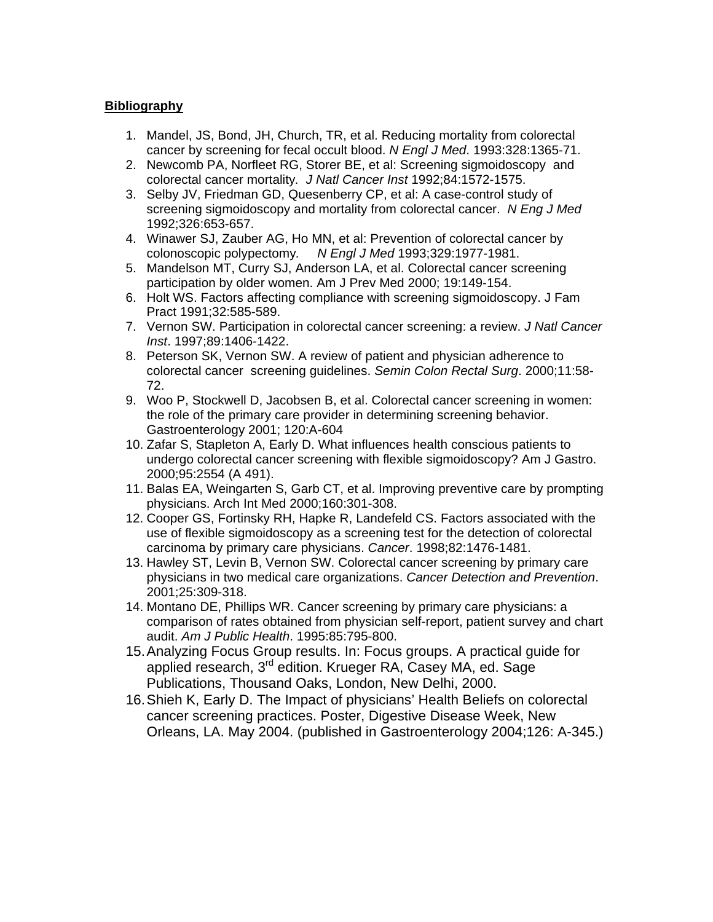## **Bibliography**

- 1. Mandel, JS, Bond, JH, Church, TR, et al. Reducing mortality from colorectal cancer by screening for fecal occult blood. *N Engl J Med*. 1993:328:1365-71.
- 2. Newcomb PA, Norfleet RG, Storer BE, et al: Screening sigmoidoscopy and colorectal cancer mortality*. J Natl Cancer Inst* 1992;84:1572-1575.
- 3. Selby JV, Friedman GD, Quesenberry CP, et al: A case-control study of screening sigmoidoscopy and mortality from colorectal cancer. *N Eng J Med* 1992;326:653-657.
- 4. Winawer SJ, Zauber AG, Ho MN, et al: Prevention of colorectal cancer by colonoscopic polypectomy*. N Engl J Med* 1993;329:1977-1981.
- 5. Mandelson MT, Curry SJ, Anderson LA, et al. Colorectal cancer screening participation by older women. Am J Prev Med 2000; 19:149-154.
- 6. Holt WS. Factors affecting compliance with screening sigmoidoscopy. J Fam Pract 1991;32:585-589.
- 7. Vernon SW. Participation in colorectal cancer screening: a review. *J Natl Cancer Inst*. 1997;89:1406-1422.
- 8. Peterson SK, Vernon SW. A review of patient and physician adherence to colorectal cancer screening guidelines. *Semin Colon Rectal Surg*. 2000;11:58- 72.
- 9. Woo P, Stockwell D, Jacobsen B, et al. Colorectal cancer screening in women: the role of the primary care provider in determining screening behavior. Gastroenterology 2001; 120:A-604
- 10. Zafar S, Stapleton A, Early D. What influences health conscious patients to undergo colorectal cancer screening with flexible sigmoidoscopy? Am J Gastro. 2000;95:2554 (A 491).
- 11. Balas EA, Weingarten S, Garb CT, et al. Improving preventive care by prompting physicians. Arch Int Med 2000;160:301-308.
- 12. Cooper GS, Fortinsky RH, Hapke R, Landefeld CS. Factors associated with the use of flexible sigmoidoscopy as a screening test for the detection of colorectal carcinoma by primary care physicians. *Cancer*. 1998;82:1476-1481.
- 13. Hawley ST, Levin B, Vernon SW. Colorectal cancer screening by primary care physicians in two medical care organizations. *Cancer Detection and Prevention*. 2001;25:309-318.
- 14. Montano DE, Phillips WR. Cancer screening by primary care physicians: a comparison of rates obtained from physician self-report, patient survey and chart audit. *Am J Public Health*. 1995:85:795-800.
- 15. Analyzing Focus Group results. In: Focus groups. A practical guide for applied research, 3<sup>rd</sup> edition. Krueger RA, Casey MA, ed. Sage Publications, Thousand Oaks, London, New Delhi, 2000.
- 16. Shieh K, Early D. The Impact of physicians' Health Beliefs on colorectal cancer screening practices. Poster, Digestive Disease Week, New Orleans, LA. May 2004. (published in Gastroenterology 2004;126: A-345.)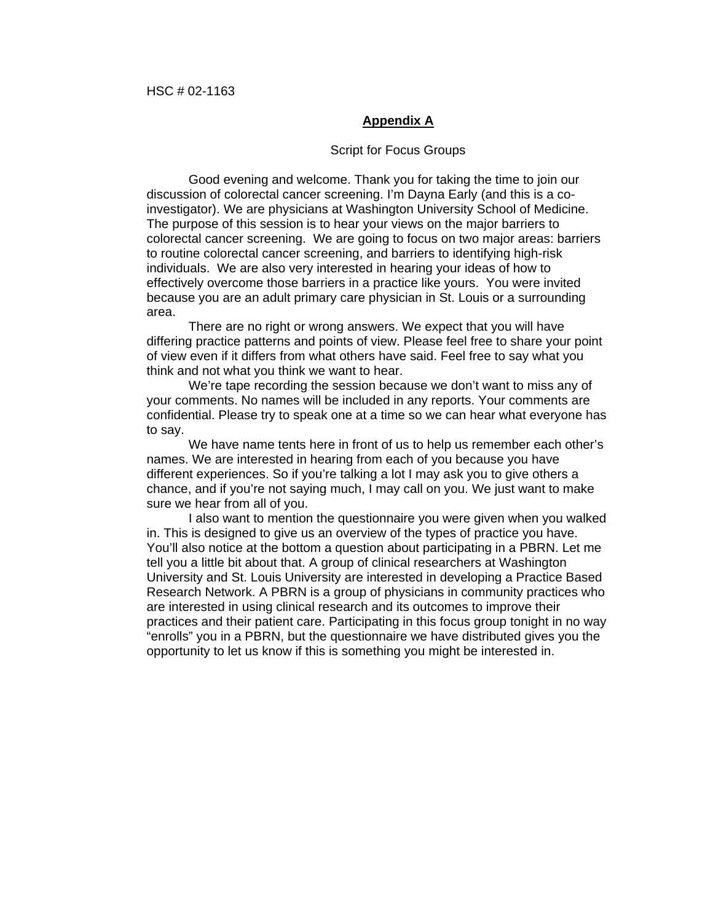## **Appendix A**

#### Script for Focus Groups

Good evening and welcome. Thank you for taking the time to join our discussion of colorectal cancer screening. I'm Dayna Early (and this is a coinvestigator). We are physicians at Washington University School of Medicine. The purpose of this session is to hear your views on the major barriers to colorectal cancer screening. We are going to focus on two major areas: barriers to routine colorectal cancer screening, and barriers to identifying high-risk individuals. We are also very interested in hearing your ideas of how to effectively overcome those barriers in a practice like yours. You were invited because you are an adult primary care physician in St. Louis or a surrounding area.

 There are no right or wrong answers. We expect that you will have differing practice patterns and points of view. Please feel free to share your point of view even if it differs from what others have said. Feel free to say what you think and not what you think we want to hear.

 We're tape recording the session because we don't want to miss any of your comments. No names will be included in any reports. Your comments are confidential. Please try to speak one at a time so we can hear what everyone has to say.

 We have name tents here in front of us to help us remember each other's names. We are interested in hearing from each of you because you have different experiences. So if you're talking a lot I may ask you to give others a chance, and if you're not saying much, I may call on you. We just want to make sure we hear from all of you.

 I also want to mention the questionnaire you were given when you walked in. This is designed to give us an overview of the types of practice you have. You'll also notice at the bottom a question about participating in a PBRN. Let me tell you a little bit about that. A group of clinical researchers at Washington University and St. Louis University are interested in developing a Practice Based Research Network. A PBRN is a group of physicians in community practices who are interested in using clinical research and its outcomes to improve their practices and their patient care. Participating in this focus group tonight in no way "enrolls" you in a PBRN, but the questionnaire we have distributed gives you the opportunity to let us know if this is something you might be interested in.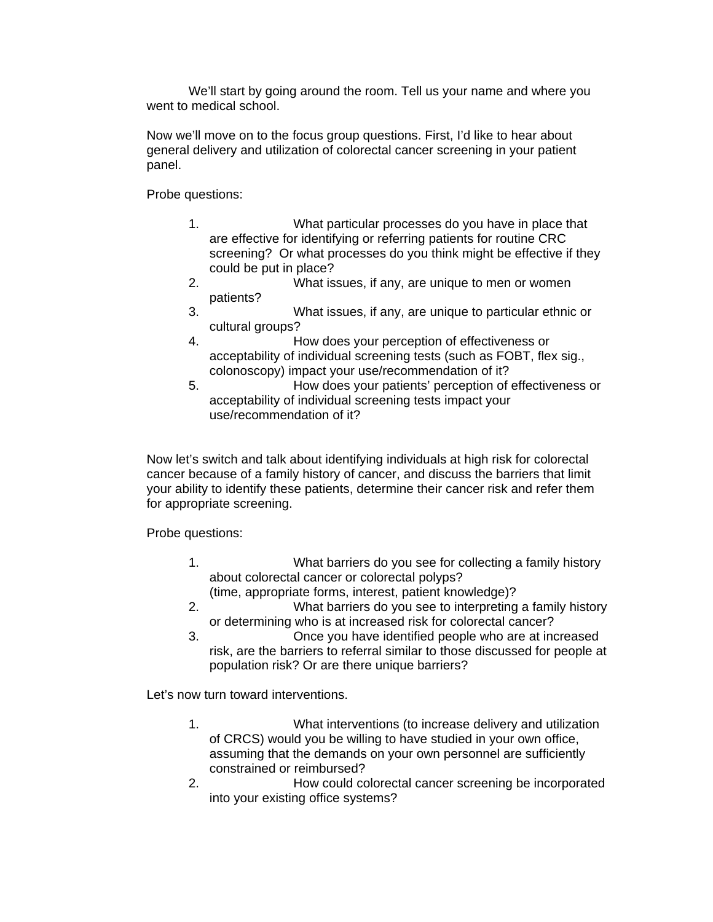We'll start by going around the room. Tell us your name and where you went to medical school.

Now we'll move on to the focus group questions. First, I'd like to hear about general delivery and utilization of colorectal cancer screening in your patient panel.

Probe questions:

- 1. What particular processes do you have in place that are effective for identifying or referring patients for routine CRC screening? Or what processes do you think might be effective if they could be put in place?
- 2. What issues, if any, are unique to men or women patients?
- 3. What issues, if any, are unique to particular ethnic or cultural groups?
- 4. How does your perception of effectiveness or acceptability of individual screening tests (such as FOBT, flex sig., colonoscopy) impact your use/recommendation of it?
- 5. How does your patients' perception of effectiveness or acceptability of individual screening tests impact your use/recommendation of it?

Now let's switch and talk about identifying individuals at high risk for colorectal cancer because of a family history of cancer, and discuss the barriers that limit your ability to identify these patients, determine their cancer risk and refer them for appropriate screening.

Probe questions:

- 1. What barriers do you see for collecting a family history about colorectal cancer or colorectal polyps? (time, appropriate forms, interest, patient knowledge)?
- 2. What barriers do you see to interpreting a family history or determining who is at increased risk for colorectal cancer?
- 3. Once you have identified people who are at increased risk, are the barriers to referral similar to those discussed for people at population risk? Or are there unique barriers?

Let's now turn toward interventions.

- 1. What interventions (to increase delivery and utilization of CRCS) would you be willing to have studied in your own office, assuming that the demands on your own personnel are sufficiently constrained or reimbursed?
- 2. How could colorectal cancer screening be incorporated into your existing office systems?